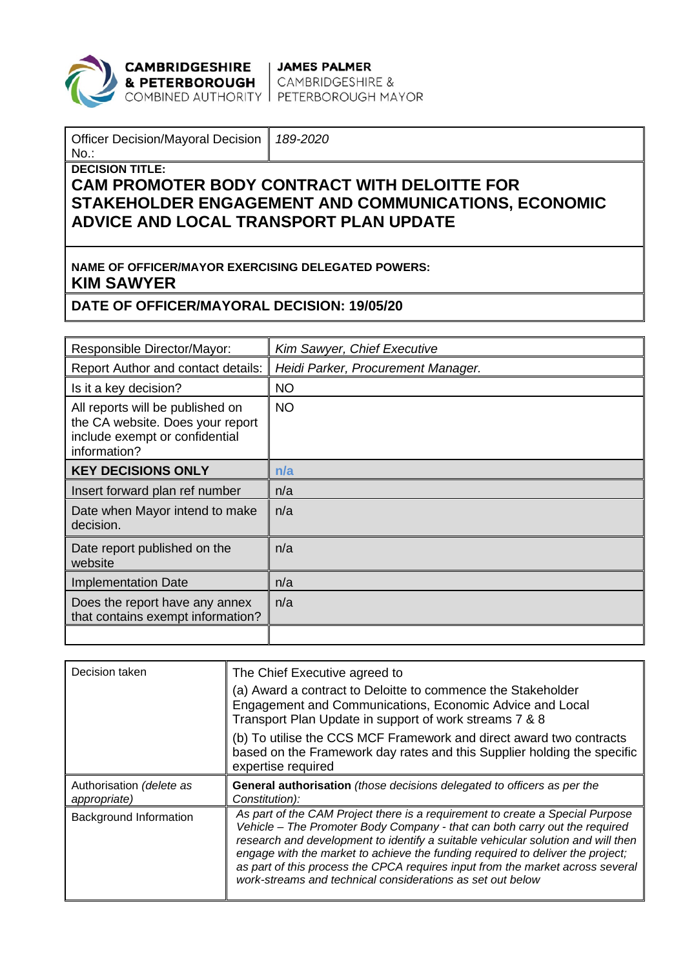

**CAMBRIDGESHIRE** JAMES PALMER<br>**& PETERBOROUGH** CAMBRIDGESHIRE &<br>COMBINED AUTHORITY PETERBOROUGH MAYOR

| <b>Officer Decision/Mayoral Decision</b><br>$No.$ :       | 189-2020 |  |  |  |  |
|-----------------------------------------------------------|----------|--|--|--|--|
| <b>DECISION TITLE:</b>                                    |          |  |  |  |  |
| <b>CAM PROMOTER BODY CONTRACT WITH DELOITTE FOR</b>       |          |  |  |  |  |
| STAKEHOLDER ENGAGEMENT AND COMMUNICATIONS, ECONOMIC       |          |  |  |  |  |
| ADVICE AND LOCAL TRANSPORT PLAN UPDATE                    |          |  |  |  |  |
|                                                           |          |  |  |  |  |
|                                                           |          |  |  |  |  |
| <b>NAME OF OFFICER/MAYOR EXERCISING DELEGATED POWERS:</b> |          |  |  |  |  |
| <b>KIM SAWYER</b>                                         |          |  |  |  |  |

## **DATE OF OFFICER/MAYORAL DECISION: 19/05/20**

| Responsible Director/Mayor:                                                                                            | Kim Sawyer, Chief Executive        |
|------------------------------------------------------------------------------------------------------------------------|------------------------------------|
| Report Author and contact details:                                                                                     | Heidi Parker, Procurement Manager. |
| Is it a key decision?                                                                                                  | <b>NO</b>                          |
| All reports will be published on<br>the CA website. Does your report<br>include exempt or confidential<br>information? | <b>NO</b>                          |
| <b>KEY DECISIONS ONLY</b>                                                                                              | n/a                                |
| Insert forward plan ref number                                                                                         | n/a                                |
| Date when Mayor intend to make<br>decision.                                                                            | n/a                                |
| Date report published on the<br>website                                                                                | n/a                                |
| <b>Implementation Date</b>                                                                                             | n/a                                |
| Does the report have any annex<br>that contains exempt information?                                                    | n/a                                |
|                                                                                                                        |                                    |

| Decision taken                           | The Chief Executive agreed to                                                                                                                                                                                                                                                                                                                                                                                                                                                     |
|------------------------------------------|-----------------------------------------------------------------------------------------------------------------------------------------------------------------------------------------------------------------------------------------------------------------------------------------------------------------------------------------------------------------------------------------------------------------------------------------------------------------------------------|
|                                          | (a) Award a contract to Deloitte to commence the Stakeholder<br>Engagement and Communications, Economic Advice and Local<br>Transport Plan Update in support of work streams 7 & 8                                                                                                                                                                                                                                                                                                |
|                                          | (b) To utilise the CCS MCF Framework and direct award two contracts<br>based on the Framework day rates and this Supplier holding the specific<br>expertise required                                                                                                                                                                                                                                                                                                              |
| Authorisation (delete as<br>appropriate) | General authorisation (those decisions delegated to officers as per the<br>Constitution):                                                                                                                                                                                                                                                                                                                                                                                         |
| Background Information                   | As part of the CAM Project there is a requirement to create a Special Purpose<br>Vehicle - The Promoter Body Company - that can both carry out the required<br>research and development to identify a suitable vehicular solution and will then<br>engage with the market to achieve the funding required to deliver the project;<br>as part of this process the CPCA requires input from the market across several<br>work-streams and technical considerations as set out below |